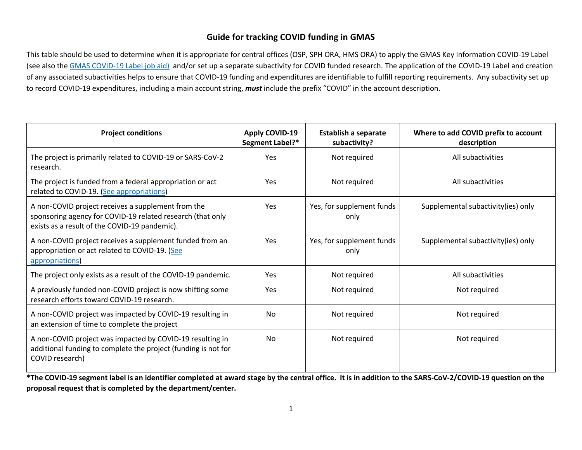# **Guide for tracking COVID funding in GMAS**

This table should be used to determine when it is appropriate for central offices (OSP, SPH ORA, HMS ORA) to apply the GMAS Key Information COVID-19 Label (see also the [GMAS COVID-19 Label job aid\)](https://gmas.fss.harvard.edu/files/gmas/files/covid-19_job_aid.pdf) and/or set up a separate subactivity for COVID funded research. The application of the COVID-19 Label and creation of any associated subactivities helps to ensure that COVID-19 funding and expenditures are identifiable to fulfill reporting requirements. Any subactivity set up to record COVID-19 expenditures, including a main account string, *must* include the prefix "COVID" in the account description.

| <b>Project conditions</b>                                                                                                                                         | <b>Apply COVID-19</b><br>Segment Label?* | <b>Establish a separate</b><br>subactivity? | Where to add COVID prefix to account<br>description |
|-------------------------------------------------------------------------------------------------------------------------------------------------------------------|------------------------------------------|---------------------------------------------|-----------------------------------------------------|
| The project is primarily related to COVID-19 or SARS-CoV-2<br>research.                                                                                           | Yes                                      | Not required                                | All subactivities                                   |
| The project is funded from a federal appropriation or act<br>related to COVID-19. (See appropriations)                                                            | Yes                                      | Not required                                | All subactivities                                   |
| A non-COVID project receives a supplement from the<br>sponsoring agency for COVID-19 related research (that only<br>exists as a result of the COVID-19 pandemic). | Yes                                      | Yes, for supplement funds<br>only           | Supplemental subactivity(ies) only                  |
| A non-COVID project receives a supplement funded from an<br>appropriation or act related to COVID-19. (See<br>appropriations                                      | Yes                                      | Yes, for supplement funds<br>only           | Supplemental subactivity (ies) only                 |
| The project only exists as a result of the COVID-19 pandemic.                                                                                                     | Yes                                      | Not required                                | All subactivities                                   |
| A previously funded non-COVID project is now shifting some<br>research efforts toward COVID-19 research.                                                          | Yes                                      | Not required                                | Not required                                        |
| A non-COVID project was impacted by COVID-19 resulting in<br>an extension of time to complete the project                                                         | <b>No</b>                                | Not required                                | Not required                                        |
| A non-COVID project was impacted by COVID-19 resulting in<br>additional funding to complete the project (funding is not for<br>COVID research)                    | <b>No</b>                                | Not required                                | Not required                                        |

**\*The COVID-19 segment label is an identifier completed at award stage by the central office. It is in addition to the SARS-CoV-2/COVID-19 question on the proposal request that is completed by the department/center.**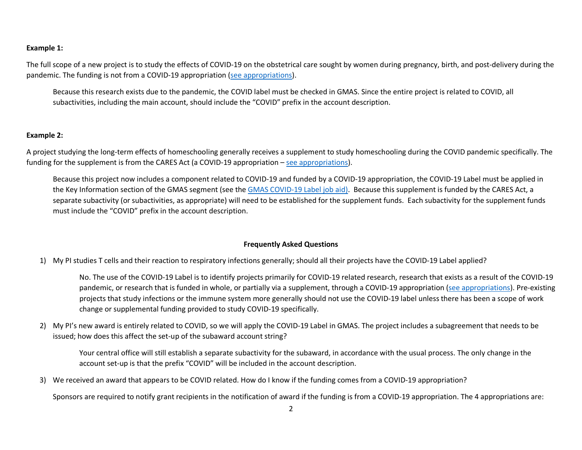### **Example 1:**

The full scope of a new project is to study the effects of COVID-19 on the obstetrical care sought by women during pregnancy, birth, and post-delivery during the pandemic. The funding is not from a COVID-19 appropriation [\(see appropriations\)](#page-1-0).

Because this research exists due to the pandemic, the COVID label must be checked in GMAS. Since the entire project is related to COVID, all subactivities, including the main account, should include the "COVID" prefix in the account description.

#### **Example 2:**

A project studying the long-term effects of homeschooling generally receives a supplement to study homeschooling during the COVID pandemic specifically. The funding for the supplement is from the CARES Act (a COVID-19 appropriation – [see appropriations\)](#page-1-0).

Because this project now includes a component related to COVID-19 and funded by a COVID-19 appropriation, the COVID-19 Label must be applied in the Key Information section of the GMAS segment (see the [GMAS COVID-19 Label job aid\).](https://gmas.fss.harvard.edu/files/gmas/files/covid-19_job_aid.pdf) Because this supplement is funded by the CARES Act, a separate subactivity (or subactivities, as appropriate) will need to be established for the supplement funds. Each subactivity for the supplement funds must include the "COVID" prefix in the account description.

#### <span id="page-1-0"></span>**Frequently Asked Questions**

1) My PI studies T cells and their reaction to respiratory infections generally; should all their projects have the COVID-19 Label applied?

No. The use of the COVID-19 Label is to identify projects primarily for COVID-19 related research, research that exists as a result of the COVID-19 pandemic, or research that is funded in whole, or partially via a supplement, through a COVID-19 appropriation [\(see appropriations\)](#page-1-0). Pre-existing projects that study infections or the immune system more generally should not use the COVID-19 label unless there has been a scope of work change or supplemental funding provided to study COVID-19 specifically.

2) My PI's new award is entirely related to COVID, so we will apply the COVID-19 Label in GMAS. The project includes a subagreement that needs to be issued; how does this affect the set-up of the subaward account string?

Your central office will still establish a separate subactivity for the subaward, in accordance with the usual process. The only change in the account set-up is that the prefix "COVID" will be included in the account description.

3) We received an award that appears to be COVID related. How do I know if the funding comes from a COVID-19 appropriation?

Sponsors are required to notify grant recipients in the notification of award if the funding is from a COVID-19 appropriation. The 4 appropriations are: